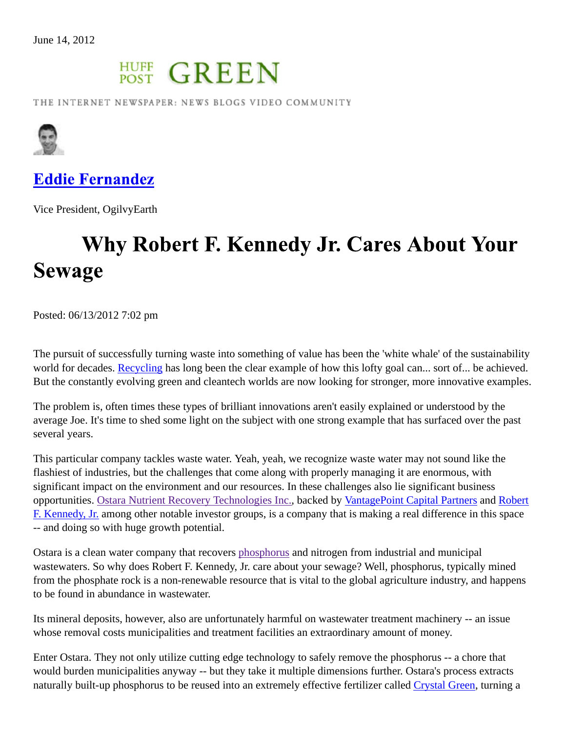

THE INTERNET NEWSPAPER: NEWS BLOGS VIDEO COMMUNITY



**Eddie Fernandez** 

Vice President, OgilvyEarth

## **Why Robert F. Kennedy Jr. Cares About Your Sewage**

Posted: 06/13/2012 7:02 pm

The pursuit of successfully turning waste into something of value has been the 'white whale' of the sustainability world for decades. Recycling has long been the clear example of how this lofty goal can... sort of... be achieved. But the constantly evolving green and cleantech worlds are now looking for stronger, more innovative examples.

The problem is, often times these types of brilliant innovations aren't easily explained or understood by the average Joe. It's time to shed some light on the subject with one strong example that has surfaced over the past several years.

This particular company tackles waste water. Yeah, yeah, we recognize waste water may not sound like the flashiest of industries, but the challenges that come along with properly managing it are enormous, with significant impact on the environment and our resources. In these challenges also lie significant business opportunities. Ostara Nutrient Recovery Technologies Inc., backed by VantagePoint Capital Partners and Robert F. Kennedy, Jr. among other notable investor groups, is a company that is making a real difference in this space -- and doing so with huge growth potential.

Ostara is a clean water company that recovers phosphorus and nitrogen from industrial and municipal wastewaters. So why does Robert F. Kennedy, Jr. care about your sewage? Well, phosphorus, typically mined from the phosphate rock is a non-renewable resource that is vital to the global agriculture industry, and happens to be found in abundance in wastewater.

Its mineral deposits, however, also are unfortunately harmful on wastewater treatment machinery -- an issue whose removal costs municipalities and treatment facilities an extraordinary amount of money.

Enter Ostara. They not only utilize cutting edge technology to safely remove the phosphorus -- a chore that would burden municipalities anyway -- but they take it multiple dimensions further. Ostara's process extracts naturally built-up phosphorus to be reused into an extremely effective fertilizer called Crystal Green, turning a